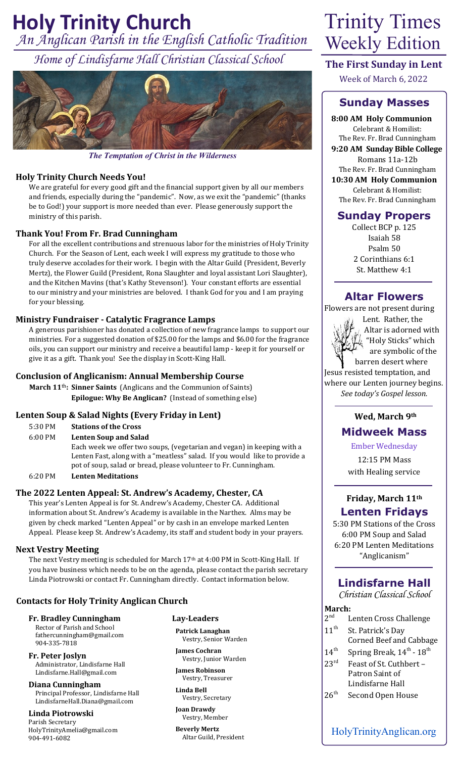# *An Anglican Parish in the English Catholic Tradition* **Holy Trinity Church** Trinity Times

*Home of Lindisfarne Hall Christian Classical School*



*The Temptation of Christ in the Wilderness*

## **Holy Trinity Church Needs You!**

We are grateful for every good gift and the financial support given by all our members and friends, especially during the "pandemic". Now, as we exit the "pandemic" (thanks be to God!) your support is more needed than ever. Please generously support the ministry of this parish.

## **Thank You! From Fr. Brad Cunningham**

For all the excellent contributions and strenuous labor for the ministries of Holy Trinity Church. For the Season of Lent, each week I will express my gratitude to those who truly deserve accolades for their work. I begin with the Altar Guild (President, Beverly Mertz), the Flower Guild (President, Rona Slaughter and loyal assistant Lori Slaughter), and the Kitchen Mavins (that's Kathy Stevenson!). Your constant efforts are essential to our ministry and your ministries are beloved. I thank God for you and I am praying for your blessing.

## **Ministry Fundraiser - Catalytic Fragrance Lamps**

A generous parishioner has donated a collection of new fragrance lamps to support our ministries. For a suggested donation of \$25.00 for the lamps and \$6.00 for the fragrance oils, you can support our ministry and receive a beautiful lamp - keep it for yourself or give it as a gift. Thank you! See the display in Scott-King Hall.

#### **Conclusion of Anglicanism: Annual Membership Course**

**March 11**th**: Sinner Saints** (Anglicans and the Communion of Saints)  **Epilogue: Why Be Anglican?** (Instead of something else)

#### **Lenten Soup & Salad Nights (Every Friday in Lent)**

| 5:30 PM           | <b>Stations of the Cross</b>                      |
|-------------------|---------------------------------------------------|
| $6:00 \text{ PM}$ | <b>Lenten Soup and Salad</b>                      |
|                   | Each week we offer two soups, (vegetarian and veg |
|                   |                                                   |

gan) in keeping with a Lenten Fast, along with a "meatless" salad. If you would like to provide a pot of soup, salad or bread, please volunteer to Fr. Cunningham.

6:20 PM **Lenten Meditations**

#### **The 2022 Lenten Appeal: St. Andrew's Academy, Chester, CA**

This year's Lenten Appeal is for St. Andrew's Academy, Chester CA. Additional information about St. Andrew's Academy is available in the Narthex. Alms may be given by check marked "Lenten Appeal" or by cash in an envelope marked Lenten Appeal. Please keep St. Andrew's Academy, its staff and student body in your prayers.

#### **Next Vestry Meeting**

The next Vestry meeting is scheduled for March 17<sup>th</sup> at 4:00 PM in Scott-King Hall. If you have business which needs to be on the agenda, please contact the parish secretary Linda Piotrowski or contact Fr. Cunningham directly. Contact information below.

#### **Contacts for Holy Trinity Anglican Church**

**Fr. Bradley Cunningham** Rector of Parish and School fathercunningham@gmail.com

904-335-7818 **Fr. Peter Joslyn**  Administrator, Lindisfarne Hall Lindisfarne.Hall@gmail.com

**Diana Cunningham** Principal Professor, Lindisfarne Hall LindisfarneHall.Diana@gmail.com

**Linda Piotrowski** Parish Secretary HolyTrinityAmelia@gmail.com 904-491-6082

# **Lay-Leaders**

**Patrick Lanaghan** Vestry, Senior Warden

**James Cochran** Vestry, Junior Warden

**James Robinson** Vestry, Treasurer

**Linda Bell** Vestry, Secretary

**Joan Drawdy** Vestry, Member

**Beverly Mertz** Altar Guild, President

# Weekly Edition

**The First Sunday in Lent**

Week of March 6, 2022

# **Sunday Masses**

**8:00 AM Holy Communion** Celebrant & Homilist: The Rev. Fr. Brad Cunningham **9:20 AM Sunday Bible College** Romans 11a-12b The Rev. Fr. Brad Cunningham **10:30 AM Holy Communion**

Celebrant & Homilist: The Rev. Fr. Brad Cunningham

# **Sunday Propers**

Collect BCP p. 125 Isaiah 58 Psalm 50 2 Corinthians 6:1 St. Matthew 4:1

# **Altar Flowers**

Flowers are not present during



 Lent. Rather, the Altar is adorned with "Holy Sticks" which are symbolic of the

 barren desert where Jesus resisted temptation, and where our Lenten journey begins. *See today's Gospel lesson.*

#### **Wed, March 9th**

# **Midweek Mass**

Ember Wednesday

12:15 PM Mass with Healing service

## **Friday, March 11th Lenten Fridays**

5:30 PM Stations of the Cross 6:00 PM Soup and Salad 6:20 PM Lenten Meditations "Anglicanism"

# **Lindisfarne Hall**

*Christian Classical School*

#### **March:**

| .                |                                                     |
|------------------|-----------------------------------------------------|
| 2 <sup>nd</sup>  | Lenten Cross Challenge                              |
| $11^{th}$        | St. Patrick's Day<br><b>Corned Beef and Cabbage</b> |
| $14^{\text{th}}$ | Spring Break, $14^{\text{th}}$ - $18^{\text{th}}$   |
| 23 <sup>rd</sup> | Feast of St. Cuthbert -<br>Patron Saint of          |
|                  | Lindisfarne Hall                                    |
| 26 <sup>th</sup> | Second Open House                                   |

HolyTrinityAnglican.org